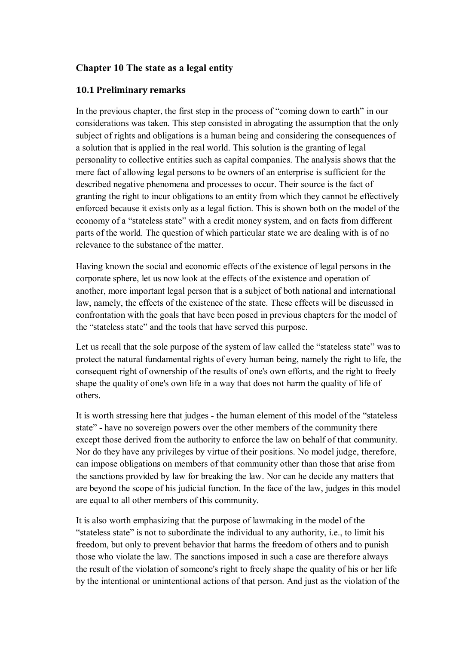# **Chapter 10 The state as a legal entity**

## **10.1 Preliminary remarks**

In the previous chapter, the first step in the process of "coming down to earth" in our considerations was taken. This step consisted in abrogating the assumption that the only subject of rights and obligations is a human being and considering the consequences of a solution that is applied in the real world. This solution is the granting of legal personality to collective entities such as capital companies. The analysis shows that the mere fact of allowing legal persons to be owners of an enterprise is sufficient for the described negative phenomena and processes to occur. Their source is the fact of granting the right to incur obligations to an entity from which they cannot be effectively enforced because it exists only as a legal fiction. This is shown both on the model of the economy of a "stateless state" with a credit money system, and on facts from different parts of the world. The question of which particular state we are dealing with is of no relevance to the substance of the matter.

Having known the social and economic effects of the existence of legal persons in the corporate sphere, let us now look at the effects of the existence and operation of another, more important legal person that is a subject of both national and international law, namely, the effects of the existence of the state. These effects will be discussed in confrontation with the goals that have been posed in previous chapters for the model of the "stateless state" and the tools that have served this purpose.

Let us recall that the sole purpose of the system of law called the "stateless state" was to protect the natural fundamental rights of every human being, namely the right to life, the consequent right of ownership of the results of one's own efforts, and the right to freely shape the quality of one's own life in a way that does not harm the quality of life of others.

It is worth stressing here that judges - the human element of this model of the "stateless state" - have no sovereign powers over the other members of the community there except those derived from the authority to enforce the law on behalf of that community. Nor do they have any privileges by virtue of their positions. No model judge, therefore, can impose obligations on members of that community other than those that arise from the sanctions provided by law for breaking the law. Nor can he decide any matters that are beyond the scope of his judicial function. In the face of the law, judges in this model are equal to all other members of this community.

It is also worth emphasizing that the purpose of lawmaking in the model of the "stateless state" is not to subordinate the individual to any authority, i.e., to limit his freedom, but only to prevent behavior that harms the freedom of others and to punish those who violate the law. The sanctions imposed in such a case are therefore always the result of the violation of someone's right to freely shape the quality of his or her life by the intentional or unintentional actions of that person. And just as the violation of the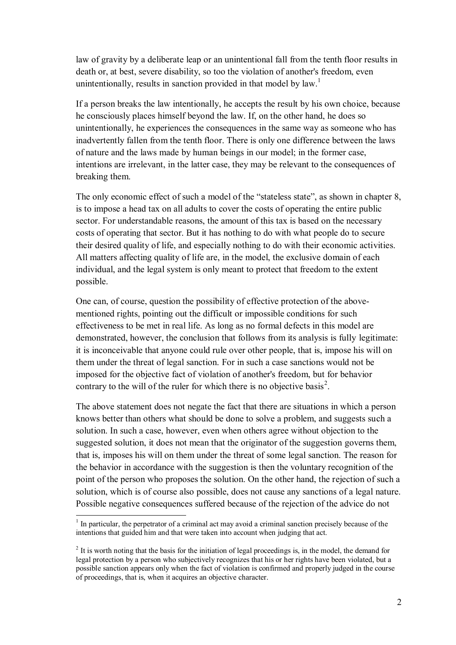law of gravity by a deliberate leap or an unintentional fall from the tenth floor results in death or, at best, severe disability, so too the violation of another's freedom, even unintentionally, results in sanction provided in that model by  $law$ .<sup>1</sup>

If a person breaks the law intentionally, he accepts the result by his own choice, because he consciously places himself beyond the law. If, on the other hand, he does so unintentionally, he experiences the consequences in the same way as someone who has inadvertently fallen from the tenth floor. There is only one difference between the laws of nature and the laws made by human beings in our model; in the former case, intentions are irrelevant, in the latter case, they may be relevant to the consequences of breaking them.

The only economic effect of such a model of the "stateless state", as shown in chapter 8, is to impose a head tax on all adults to cover the costs of operating the entire public sector. For understandable reasons, the amount of this tax is based on the necessary costs of operating that sector. But it has nothing to do with what people do to secure their desired quality of life, and especially nothing to do with their economic activities. All matters affecting quality of life are, in the model, the exclusive domain of each individual, and the legal system is only meant to protect that freedom to the extent possible.

One can, of course, question the possibility of effective protection of the abovementioned rights, pointing out the difficult or impossible conditions for such effectiveness to be met in real life. As long as no formal defects in this model are demonstrated, however, the conclusion that follows from its analysis is fully legitimate: it is inconceivable that anyone could rule over other people, that is, impose his will on them under the threat of legal sanction. For in such a case sanctions would not be imposed for the objective fact of violation of another's freedom, but for behavior contrary to the will of the ruler for which there is no objective basis<sup>2</sup>.

The above statement does not negate the fact that there are situations in which a person knows better than others what should be done to solve a problem, and suggests such a solution. In such a case, however, even when others agree without objection to the suggested solution, it does not mean that the originator of the suggestion governs them, that is, imposes his will on them under the threat of some legal sanction. The reason for the behavior in accordance with the suggestion is then the voluntary recognition of the point of the person who proposes the solution. On the other hand, the rejection of such a solution, which is of course also possible, does not cause any sanctions of a legal nature. Possible negative consequences suffered because of the rejection of the advice do not

 $\overline{a}$ 

 $1$  In particular, the perpetrator of a criminal act may avoid a criminal sanction precisely because of the intentions that guided him and that were taken into account when judging that act.

 $2<sup>2</sup>$  It is worth noting that the basis for the initiation of legal proceedings is, in the model, the demand for legal protection by a person who subjectively recognizes that his or her rights have been violated, but a possible sanction appears only when the fact of violation is confirmed and properly judged in the course of proceedings, that is, when it acquires an objective character.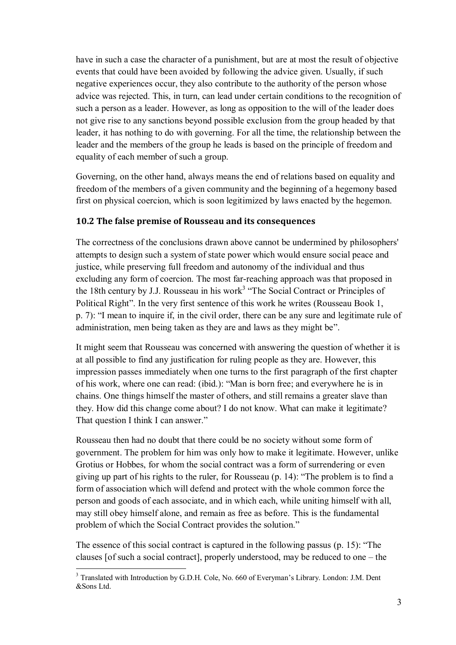have in such a case the character of a punishment, but are at most the result of objective events that could have been avoided by following the advice given. Usually, if such negative experiences occur, they also contribute to the authority of the person whose advice was rejected. This, in turn, can lead under certain conditions to the recognition of such a person as a leader. However, as long as opposition to the will of the leader does not give rise to any sanctions beyond possible exclusion from the group headed by that leader, it has nothing to do with governing. For all the time, the relationship between the leader and the members of the group he leads is based on the principle of freedom and equality of each member of such a group.

Governing, on the other hand, always means the end of relations based on equality and freedom of the members of a given community and the beginning of a hegemony based first on physical coercion, which is soon legitimized by laws enacted by the hegemon.

### **10.2 The false premise of Rousseau and its consequences**

The correctness of the conclusions drawn above cannot be undermined by philosophers' attempts to design such a system of state power which would ensure social peace and justice, while preserving full freedom and autonomy of the individual and thus excluding any form of coercion. The most far-reaching approach was that proposed in the 18th century by J.J. Rousseau in his work<sup>3</sup> "The Social Contract or Principles of Political Right". In the very first sentence of this work he writes (Rousseau Book 1, p. 7): "I mean to inquire if, in the civil order, there can be any sure and legitimate rule of administration, men being taken as they are and laws as they might be".

It might seem that Rousseau was concerned with answering the question of whether it is at all possible to find any justification for ruling people as they are. However, this impression passes immediately when one turns to the first paragraph of the first chapter of his work, where one can read: (ibid.): "Man is born free; and everywhere he is in chains. One things himself the master of others, and still remains a greater slave than they. How did this change come about? I do not know. What can make it legitimate? That question I think I can answer."

Rousseau then had no doubt that there could be no society without some form of government. The problem for him was only how to make it legitimate. However, unlike Grotius or Hobbes, for whom the social contract was a form of surrendering or even giving up part of his rights to the ruler, for Rousseau (p. 14): "The problem is to find a form of association which will defend and protect with the whole common force the person and goods of each associate, and in which each, while uniting himself with all, may still obey himself alone, and remain as free as before. This is the fundamental problem of which the Social Contract provides the solution."

The essence of this social contract is captured in the following passus (p. 15): "The clauses [of such a social contract], properly understood, may be reduced to one – the

 $\overline{a}$ <sup>3</sup> Translated with Introduction by G.D.H. Cole, No. 660 of Everyman's Library. London: J.M. Dent &Sons Ltd.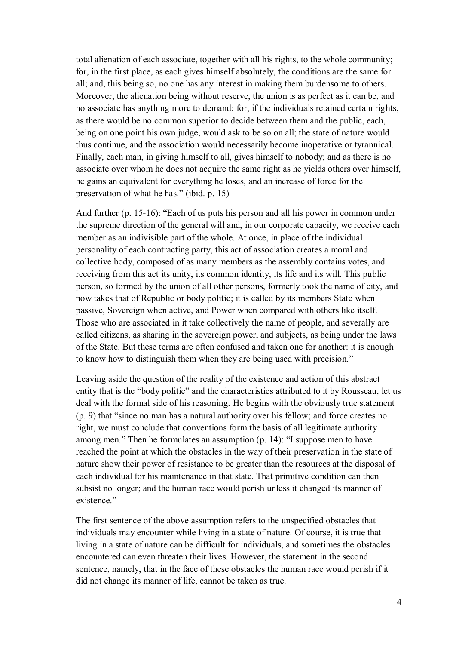total alienation of each associate, together with all his rights, to the whole community; for, in the first place, as each gives himself absolutely, the conditions are the same for all; and, this being so, no one has any interest in making them burdensome to others. Moreover, the alienation being without reserve, the union is as perfect as it can be, and no associate has anything more to demand: for, if the individuals retained certain rights, as there would be no common superior to decide between them and the public, each, being on one point his own judge, would ask to be so on all; the state of nature would thus continue, and the association would necessarily become inoperative or tyrannical. Finally, each man, in giving himself to all, gives himself to nobody; and as there is no associate over whom he does not acquire the same right as he yields others over himself, he gains an equivalent for everything he loses, and an increase of force for the preservation of what he has." (ibid. p. 15)

And further (p. 15-16): "Each of us puts his person and all his power in common under the supreme direction of the general will and, in our corporate capacity, we receive each member as an indivisible part of the whole. At once, in place of the individual personality of each contracting party, this act of association creates a moral and collective body, composed of as many members as the assembly contains votes, and receiving from this act its unity, its common identity, its life and its will. This public person, so formed by the union of all other persons, formerly took the name of city, and now takes that of Republic or body politic; it is called by its members State when passive, Sovereign when active, and Power when compared with others like itself. Those who are associated in it take collectively the name of people, and severally are called citizens, as sharing in the sovereign power, and subjects, as being under the laws of the State. But these terms are often confused and taken one for another: it is enough to know how to distinguish them when they are being used with precision."

Leaving aside the question of the reality of the existence and action of this abstract entity that is the "body politic" and the characteristics attributed to it by Rousseau, let us deal with the formal side of his reasoning. He begins with the obviously true statement (p. 9) that "since no man has a natural authority over his fellow; and force creates no right, we must conclude that conventions form the basis of all legitimate authority among men." Then he formulates an assumption (p. 14): "I suppose men to have reached the point at which the obstacles in the way of their preservation in the state of nature show their power of resistance to be greater than the resources at the disposal of each individual for his maintenance in that state. That primitive condition can then subsist no longer; and the human race would perish unless it changed its manner of existence."

The first sentence of the above assumption refers to the unspecified obstacles that individuals may encounter while living in a state of nature. Of course, it is true that living in a state of nature can be difficult for individuals, and sometimes the obstacles encountered can even threaten their lives. However, the statement in the second sentence, namely, that in the face of these obstacles the human race would perish if it did not change its manner of life, cannot be taken as true.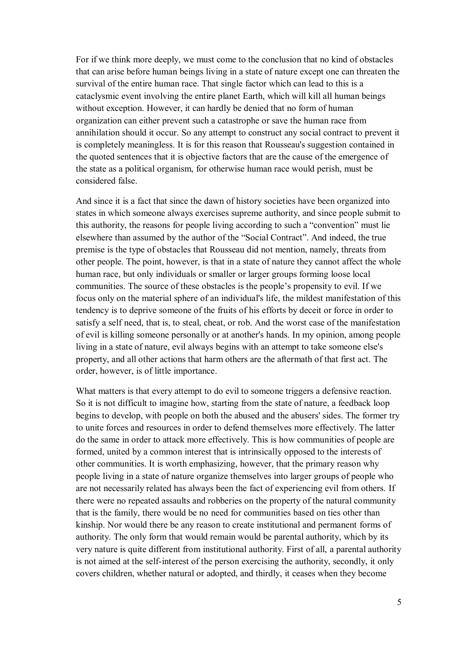For if we think more deeply, we must come to the conclusion that no kind of obstacles that can arise before human beings living in a state of nature except one can threaten the survival of the entire human race. That single factor which can lead to this is a cataclysmic event involving the entire planet Earth, which will kill all human beings without exception. However, it can hardly be denied that no form of human organization can either prevent such a catastrophe or save the human race from annihilation should it occur. So any attempt to construct any social contract to prevent it is completely meaningless. It is for this reason that Rousseau's suggestion contained in the quoted sentences that it is objective factors that are the cause of the emergence of the state as a political organism, for otherwise human race would perish, must be considered false.

And since it is a fact that since the dawn of history societies have been organized into states in which someone always exercises supreme authority, and since people submit to this authority, the reasons for people living according to such a "convention" must lie elsewhere than assumed by the author of the "Social Contract". And indeed, the true premise is the type of obstacles that Rousseau did not mention, namely, threats from other people. The point, however, is that in a state of nature they cannot affect the whole human race, but only individuals or smaller or larger groups forming loose local communities. The source of these obstacles is the people's propensity to evil. If we focus only on the material sphere of an individual's life, the mildest manifestation of this tendency is to deprive someone of the fruits of his efforts by deceit or force in order to satisfy a self need, that is, to steal, cheat, or rob. And the worst case of the manifestation of evil is killing someone personally or at another's hands. In my opinion, among people living in a state of nature, evil always begins with an attempt to take someone else's property, and all other actions that harm others are the aftermath of that first act. The order, however, is of little importance.

What matters is that every attempt to do evil to someone triggers a defensive reaction. So it is not difficult to imagine how, starting from the state of nature, a feedback loop begins to develop, with people on both the abused and the abusers' sides. The former try to unite forces and resources in order to defend themselves more effectively. The latter do the same in order to attack more effectively. This is how communities of people are formed, united by a common interest that is intrinsically opposed to the interests of other communities. It is worth emphasizing, however, that the primary reason why people living in a state of nature organize themselves into larger groups of people who are not necessarily related has always been the fact of experiencing evil from others. If there were no repeated assaults and robberies on the property of the natural community that is the family, there would be no need for communities based on ties other than kinship. Nor would there be any reason to create institutional and permanent forms of authority. The only form that would remain would be parental authority, which by its very nature is quite different from institutional authority. First of all, a parental authority is not aimed at the self-interest of the person exercising the authority, secondly, it only covers children, whether natural or adopted, and thirdly, it ceases when they become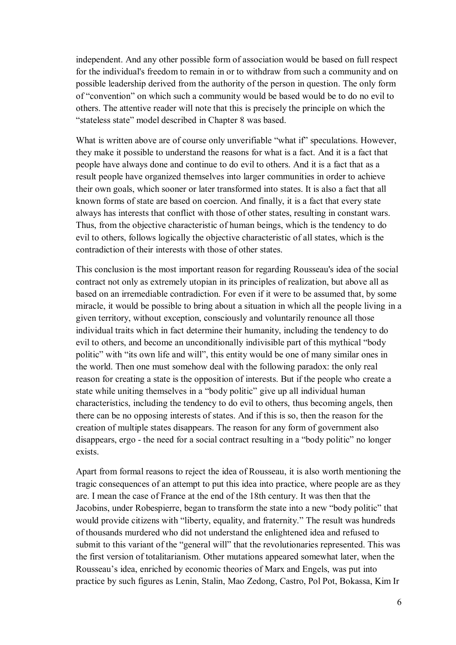independent. And any other possible form of association would be based on full respect for the individual's freedom to remain in or to withdraw from such a community and on possible leadership derived from the authority of the person in question. The only form of "convention" on which such a community would be based would be to do no evil to others. The attentive reader will note that this is precisely the principle on which the "stateless state" model described in Chapter 8 was based.

What is written above are of course only unverifiable "what if" speculations. However, they make it possible to understand the reasons for what is a fact. And it is a fact that people have always done and continue to do evil to others. And it is a fact that as a result people have organized themselves into larger communities in order to achieve their own goals, which sooner or later transformed into states. It is also a fact that all known forms of state are based on coercion. And finally, it is a fact that every state always has interests that conflict with those of other states, resulting in constant wars. Thus, from the objective characteristic of human beings, which is the tendency to do evil to others, follows logically the objective characteristic of all states, which is the contradiction of their interests with those of other states.

This conclusion is the most important reason for regarding Rousseau's idea of the social contract not only as extremely utopian in its principles of realization, but above all as based on an irremediable contradiction. For even if it were to be assumed that, by some miracle, it would be possible to bring about a situation in which all the people living in a given territory, without exception, consciously and voluntarily renounce all those individual traits which in fact determine their humanity, including the tendency to do evil to others, and become an unconditionally indivisible part of this mythical "body politic" with "its own life and will", this entity would be one of many similar ones in the world. Then one must somehow deal with the following paradox: the only real reason for creating a state is the opposition of interests. But if the people who create a state while uniting themselves in a "body politic" give up all individual human characteristics, including the tendency to do evil to others, thus becoming angels, then there can be no opposing interests of states. And if this is so, then the reason for the creation of multiple states disappears. The reason for any form of government also disappears, ergo - the need for a social contract resulting in a "body politic" no longer exists.

Apart from formal reasons to reject the idea of Rousseau, it is also worth mentioning the tragic consequences of an attempt to put this idea into practice, where people are as they are. I mean the case of France at the end of the 18th century. It was then that the Jacobins, under Robespierre, began to transform the state into a new "body politic" that would provide citizens with "liberty, equality, and fraternity." The result was hundreds of thousands murdered who did not understand the enlightened idea and refused to submit to this variant of the "general will" that the revolutionaries represented. This was the first version of totalitarianism. Other mutations appeared somewhat later, when the Rousseau's idea, enriched by economic theories of Marx and Engels, was put into practice by such figures as Lenin, Stalin, Mao Zedong, Castro, Pol Pot, Bokassa, Kim Ir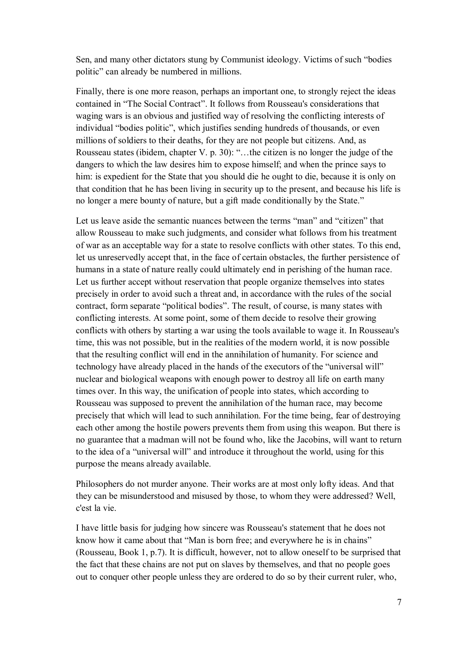Sen, and many other dictators stung by Communist ideology. Victims of such "bodies politic" can already be numbered in millions.

Finally, there is one more reason, perhaps an important one, to strongly reject the ideas contained in "The Social Contract". It follows from Rousseau's considerations that waging wars is an obvious and justified way of resolving the conflicting interests of individual "bodies politic", which justifies sending hundreds of thousands, or even millions of soldiers to their deaths, for they are not people but citizens. And, as Rousseau states (ibidem, chapter V. p. 30): "…the citizen is no longer the judge of the dangers to which the law desires him to expose himself; and when the prince says to him: is expedient for the State that you should die he ought to die, because it is only on that condition that he has been living in security up to the present, and because his life is no longer a mere bounty of nature, but a gift made conditionally by the State."

Let us leave aside the semantic nuances between the terms "man" and "citizen" that allow Rousseau to make such judgments, and consider what follows from his treatment of war as an acceptable way for a state to resolve conflicts with other states. To this end, let us unreservedly accept that, in the face of certain obstacles, the further persistence of humans in a state of nature really could ultimately end in perishing of the human race. Let us further accept without reservation that people organize themselves into states precisely in order to avoid such a threat and, in accordance with the rules of the social contract, form separate "political bodies". The result, of course, is many states with conflicting interests. At some point, some of them decide to resolve their growing conflicts with others by starting a war using the tools available to wage it. In Rousseau's time, this was not possible, but in the realities of the modern world, it is now possible that the resulting conflict will end in the annihilation of humanity. For science and technology have already placed in the hands of the executors of the "universal will" nuclear and biological weapons with enough power to destroy all life on earth many times over. In this way, the unification of people into states, which according to Rousseau was supposed to prevent the annihilation of the human race, may become precisely that which will lead to such annihilation. For the time being, fear of destroying each other among the hostile powers prevents them from using this weapon. But there is no guarantee that a madman will not be found who, like the Jacobins, will want to return to the idea of a "universal will" and introduce it throughout the world, using for this purpose the means already available.

Philosophers do not murder anyone. Their works are at most only lofty ideas. And that they can be misunderstood and misused by those, to whom they were addressed? Well, c'est la vie.

I have little basis for judging how sincere was Rousseau's statement that he does not know how it came about that "Man is born free; and everywhere he is in chains" (Rousseau, Book 1, p.7). It is difficult, however, not to allow oneself to be surprised that the fact that these chains are not put on slaves by themselves, and that no people goes out to conquer other people unless they are ordered to do so by their current ruler, who,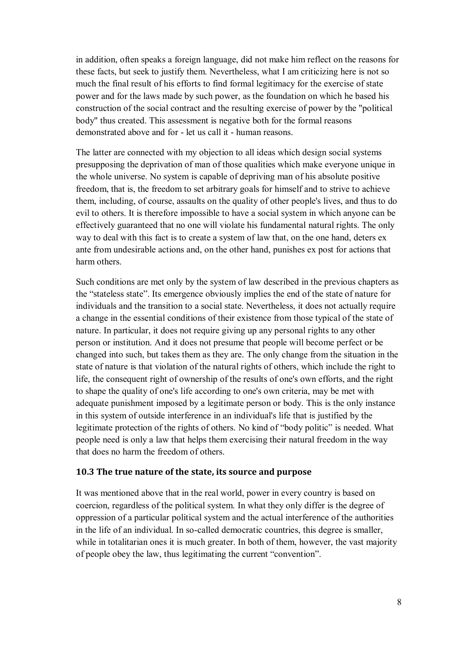in addition, often speaks a foreign language, did not make him reflect on the reasons for these facts, but seek to justify them. Nevertheless, what I am criticizing here is not so much the final result of his efforts to find formal legitimacy for the exercise of state power and for the laws made by such power, as the foundation on which he based his construction of the social contract and the resulting exercise of power by the "political body" thus created. This assessment is negative both for the formal reasons demonstrated above and for - let us call it - human reasons.

The latter are connected with my objection to all ideas which design social systems presupposing the deprivation of man of those qualities which make everyone unique in the whole universe. No system is capable of depriving man of his absolute positive freedom, that is, the freedom to set arbitrary goals for himself and to strive to achieve them, including, of course, assaults on the quality of other people's lives, and thus to do evil to others. It is therefore impossible to have a social system in which anyone can be effectively guaranteed that no one will violate his fundamental natural rights. The only way to deal with this fact is to create a system of law that, on the one hand, deters ex ante from undesirable actions and, on the other hand, punishes ex post for actions that harm others.

Such conditions are met only by the system of law described in the previous chapters as the "stateless state". Its emergence obviously implies the end of the state of nature for individuals and the transition to a social state. Nevertheless, it does not actually require a change in the essential conditions of their existence from those typical of the state of nature. In particular, it does not require giving up any personal rights to any other person or institution. And it does not presume that people will become perfect or be changed into such, but takes them as they are. The only change from the situation in the state of nature is that violation of the natural rights of others, which include the right to life, the consequent right of ownership of the results of one's own efforts, and the right to shape the quality of one's life according to one's own criteria, may be met with adequate punishment imposed by a legitimate person or body. This is the only instance in this system of outside interference in an individual's life that is justified by the legitimate protection of the rights of others. No kind of "body politic" is needed. What people need is only a law that helps them exercising their natural freedom in the way that does no harm the freedom of others.

#### **10.3 The true nature of the state, its source and purpose**

It was mentioned above that in the real world, power in every country is based on coercion, regardless of the political system. In what they only differ is the degree of oppression of a particular political system and the actual interference of the authorities in the life of an individual. In so-called democratic countries, this degree is smaller, while in totalitarian ones it is much greater. In both of them, however, the vast majority of people obey the law, thus legitimating the current "convention".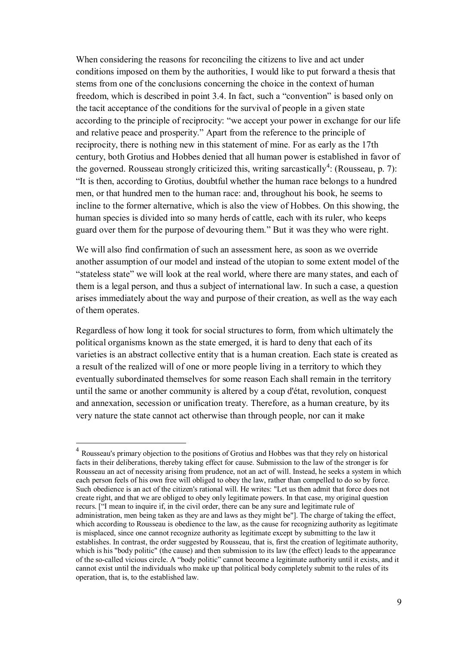When considering the reasons for reconciling the citizens to live and act under conditions imposed on them by the authorities, I would like to put forward a thesis that stems from one of the conclusions concerning the choice in the context of human freedom, which is described in point 3.4. In fact, such a "convention" is based only on the tacit acceptance of the conditions for the survival of people in a given state according to the principle of reciprocity: "we accept your power in exchange for our life and relative peace and prosperity." Apart from the reference to the principle of reciprocity, there is nothing new in this statement of mine. For as early as the 17th century, both Grotius and Hobbes denied that all human power is established in favor of the governed. Rousseau strongly criticized this, writing sarcastically<sup>4</sup>: (Rousseau, p. 7): "It is then, according to Grotius, doubtful whether the human race belongs to a hundred men, or that hundred men to the human race: and, throughout his book, he seems to incline to the former alternative, which is also the view of Hobbes. On this showing, the human species is divided into so many herds of cattle, each with its ruler, who keeps guard over them for the purpose of devouring them." But it was they who were right.

We will also find confirmation of such an assessment here, as soon as we override another assumption of our model and instead of the utopian to some extent model of the "stateless state" we will look at the real world, where there are many states, and each of them is a legal person, and thus a subject of international law. In such a case, a question arises immediately about the way and purpose of their creation, as well as the way each of them operates.

Regardless of how long it took for social structures to form, from which ultimately the political organisms known as the state emerged, it is hard to deny that each of its varieties is an abstract collective entity that is a human creation. Each state is created as a result of the realized will of one or more people living in a territory to which they eventually subordinated themselves for some reason Each shall remain in the territory until the same or another community is altered by a coup d'état, revolution, conquest and annexation, secession or unification treaty. Therefore, as a human creature, by its very nature the state cannot act otherwise than through people, nor can it make

 $\overline{a}$ 

<sup>&</sup>lt;sup>4</sup> Rousseau's primary objection to the positions of Grotius and Hobbes was that they rely on historical facts in their deliberations, thereby taking effect for cause. Submission to the law of the stronger is for Rousseau an act of necessity arising from prudence, not an act of will. Instead, he seeks a system in which each person feels of his own free will obliged to obey the law, rather than compelled to do so by force. Such obedience is an act of the citizen's rational will. He writes: "Let us then admit that force does not create right, and that we are obliged to obey only legitimate powers. In that case, my original question recurs. ["I mean to inquire if, in the civil order, there can be any sure and legitimate rule of administration, men being taken as they are and laws as they might be"]. The charge of taking the effect, which according to Rousseau is obedience to the law, as the cause for recognizing authority as legitimate is misplaced, since one cannot recognize authority as legitimate except by submitting to the law it establishes. In contrast, the order suggested by Rousseau, that is, first the creation of legitimate authority, which is his "body politic" (the cause) and then submission to its law (the effect) leads to the appearance of the so-called vicious circle. A "body politic" cannot become a legitimate authority until it exists, and it cannot exist until the individuals who make up that political body completely submit to the rules of its operation, that is, to the established law.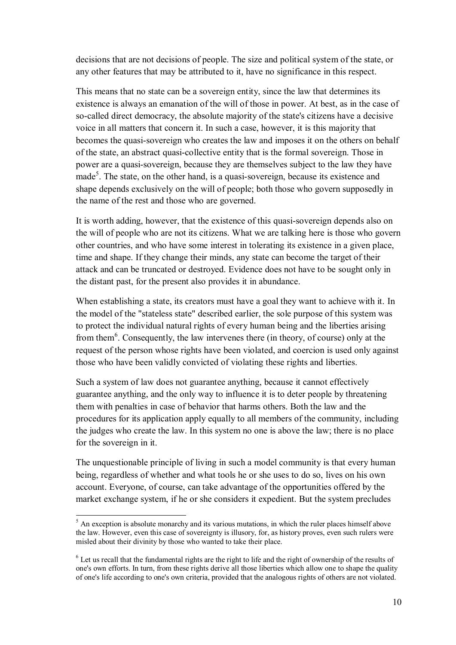decisions that are not decisions of people. The size and political system of the state, or any other features that may be attributed to it, have no significance in this respect.

This means that no state can be a sovereign entity, since the law that determines its existence is always an emanation of the will of those in power. At best, as in the case of so-called direct democracy, the absolute majority of the state's citizens have a decisive voice in all matters that concern it. In such a case, however, it is this majority that becomes the quasi-sovereign who creates the law and imposes it on the others on behalf of the state, an abstract quasi-collective entity that is the formal sovereign. Those in power are a quasi-sovereign, because they are themselves subject to the law they have made<sup>5</sup>. The state, on the other hand, is a quasi-sovereign, because its existence and shape depends exclusively on the will of people; both those who govern supposedly in the name of the rest and those who are governed.

It is worth adding, however, that the existence of this quasi-sovereign depends also on the will of people who are not its citizens. What we are talking here is those who govern other countries, and who have some interest in tolerating its existence in a given place, time and shape. If they change their minds, any state can become the target of their attack and can be truncated or destroyed. Evidence does not have to be sought only in the distant past, for the present also provides it in abundance.

When establishing a state, its creators must have a goal they want to achieve with it. In the model of the "stateless state" described earlier, the sole purpose of this system was to protect the individual natural rights of every human being and the liberties arising from them<sup>6</sup>. Consequently, the law intervenes there (in theory, of course) only at the request of the person whose rights have been violated, and coercion is used only against those who have been validly convicted of violating these rights and liberties.

Such a system of law does not guarantee anything, because it cannot effectively guarantee anything, and the only way to influence it is to deter people by threatening them with penalties in case of behavior that harms others. Both the law and the procedures for its application apply equally to all members of the community, including the judges who create the law. In this system no one is above the law; there is no place for the sovereign in it.

The unquestionable principle of living in such a model community is that every human being, regardless of whether and what tools he or she uses to do so, lives on his own account. Everyone, of course, can take advantage of the opportunities offered by the market exchange system, if he or she considers it expedient. But the system precludes

 $\overline{a}$  $<sup>5</sup>$  An exception is absolute monarchy and its various mutations, in which the ruler places himself above</sup> the law. However, even this case of sovereignty is illusory, for, as history proves, even such rulers were misled about their divinity by those who wanted to take their place.

 $6$  Let us recall that the fundamental rights are the right to life and the right of ownership of the results of one's own efforts. In turn, from these rights derive all those liberties which allow one to shape the quality of one's life according to one's own criteria, provided that the analogous rights of others are not violated.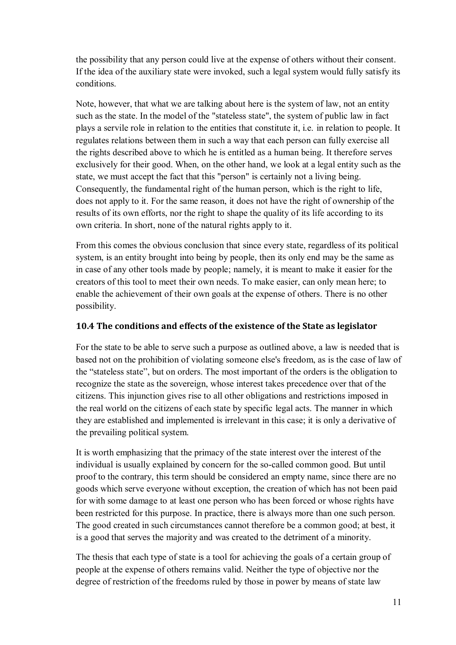the possibility that any person could live at the expense of others without their consent. If the idea of the auxiliary state were invoked, such a legal system would fully satisfy its conditions.

Note, however, that what we are talking about here is the system of law, not an entity such as the state. In the model of the "stateless state", the system of public law in fact plays a servile role in relation to the entities that constitute it, i.e. in relation to people. It regulates relations between them in such a way that each person can fully exercise all the rights described above to which he is entitled as a human being. It therefore serves exclusively for their good. When, on the other hand, we look at a legal entity such as the state, we must accept the fact that this "person" is certainly not a living being. Consequently, the fundamental right of the human person, which is the right to life, does not apply to it. For the same reason, it does not have the right of ownership of the results of its own efforts, nor the right to shape the quality of its life according to its own criteria. In short, none of the natural rights apply to it.

From this comes the obvious conclusion that since every state, regardless of its political system, is an entity brought into being by people, then its only end may be the same as in case of any other tools made by people; namely, it is meant to make it easier for the creators of this tool to meet their own needs. To make easier, can only mean here; to enable the achievement of their own goals at the expense of others. There is no other possibility.

## **10.4 The conditions and effects of the existence of the State as legislator**

For the state to be able to serve such a purpose as outlined above, a law is needed that is based not on the prohibition of violating someone else's freedom, as is the case of law of the "stateless state", but on orders. The most important of the orders is the obligation to recognize the state as the sovereign, whose interest takes precedence over that of the citizens. This injunction gives rise to all other obligations and restrictions imposed in the real world on the citizens of each state by specific legal acts. The manner in which they are established and implemented is irrelevant in this case; it is only a derivative of the prevailing political system.

It is worth emphasizing that the primacy of the state interest over the interest of the individual is usually explained by concern for the so-called common good. But until proof to the contrary, this term should be considered an empty name, since there are no goods which serve everyone without exception, the creation of which has not been paid for with some damage to at least one person who has been forced or whose rights have been restricted for this purpose. In practice, there is always more than one such person. The good created in such circumstances cannot therefore be a common good; at best, it is a good that serves the majority and was created to the detriment of a minority.

The thesis that each type of state is a tool for achieving the goals of a certain group of people at the expense of others remains valid. Neither the type of objective nor the degree of restriction of the freedoms ruled by those in power by means of state law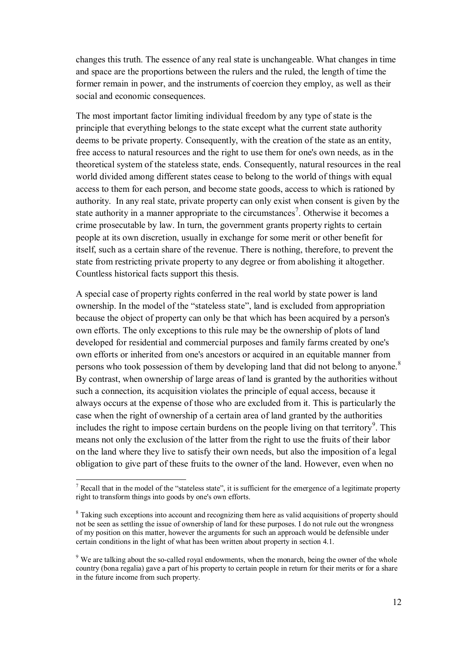changes this truth. The essence of any real state is unchangeable. What changes in time and space are the proportions between the rulers and the ruled, the length of time the former remain in power, and the instruments of coercion they employ, as well as their social and economic consequences.

The most important factor limiting individual freedom by any type of state is the principle that everything belongs to the state except what the current state authority deems to be private property. Consequently, with the creation of the state as an entity, free access to natural resources and the right to use them for one's own needs, as in the theoretical system of the stateless state, ends. Consequently, natural resources in the real world divided among different states cease to belong to the world of things with equal access to them for each person, and become state goods, access to which is rationed by authority. In any real state, private property can only exist when consent is given by the state authority in a manner appropriate to the circumstances<sup>7</sup>. Otherwise it becomes a crime prosecutable by law. In turn, the government grants property rights to certain people at its own discretion, usually in exchange for some merit or other benefit for itself, such as a certain share of the revenue. There is nothing, therefore, to prevent the state from restricting private property to any degree or from abolishing it altogether. Countless historical facts support this thesis.

A special case of property rights conferred in the real world by state power is land ownership. In the model of the "stateless state", land is excluded from appropriation because the object of property can only be that which has been acquired by a person's own efforts. The only exceptions to this rule may be the ownership of plots of land developed for residential and commercial purposes and family farms created by one's own efforts or inherited from one's ancestors or acquired in an equitable manner from persons who took possession of them by developing land that did not belong to anyone.<sup>8</sup> By contrast, when ownership of large areas of land is granted by the authorities without such a connection, its acquisition violates the principle of equal access, because it always occurs at the expense of those who are excluded from it. This is particularly the case when the right of ownership of a certain area of land granted by the authorities includes the right to impose certain burdens on the people living on that territory<sup>9</sup>. This means not only the exclusion of the latter from the right to use the fruits of their labor on the land where they live to satisfy their own needs, but also the imposition of a legal obligation to give part of these fruits to the owner of the land. However, even when no

 $\overline{a}$ 

<sup>&</sup>lt;sup>7</sup> Recall that in the model of the "stateless state", it is sufficient for the emergence of a legitimate property right to transform things into goods by one's own efforts.

<sup>&</sup>lt;sup>8</sup> Taking such exceptions into account and recognizing them here as valid acquisitions of property should not be seen as settling the issue of ownership of land for these purposes. I do not rule out the wrongness of my position on this matter, however the arguments for such an approach would be defensible under certain conditions in the light of what has been written about property in section 4.1.

<sup>&</sup>lt;sup>9</sup> We are talking about the so-called royal endowments, when the monarch, being the owner of the whole country (bona regalia) gave a part of his property to certain people in return for their merits or for a share in the future income from such property.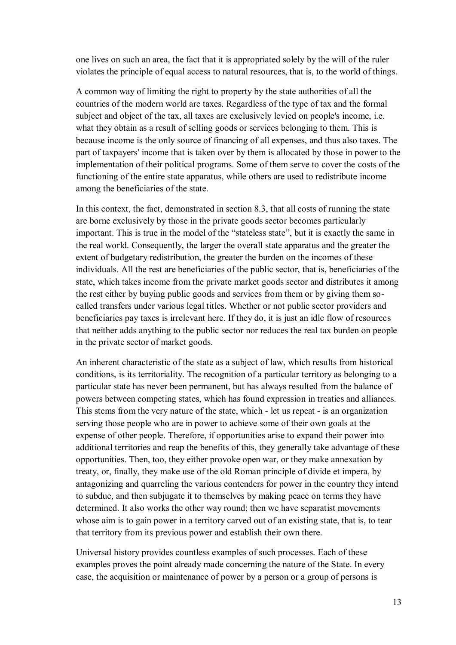one lives on such an area, the fact that it is appropriated solely by the will of the ruler violates the principle of equal access to natural resources, that is, to the world of things.

A common way of limiting the right to property by the state authorities of all the countries of the modern world are taxes. Regardless of the type of tax and the formal subject and object of the tax, all taxes are exclusively levied on people's income, i.e. what they obtain as a result of selling goods or services belonging to them. This is because income is the only source of financing of all expenses, and thus also taxes. The part of taxpayers' income that is taken over by them is allocated by those in power to the implementation of their political programs. Some of them serve to cover the costs of the functioning of the entire state apparatus, while others are used to redistribute income among the beneficiaries of the state.

In this context, the fact, demonstrated in section 8.3, that all costs of running the state are borne exclusively by those in the private goods sector becomes particularly important. This is true in the model of the "stateless state", but it is exactly the same in the real world. Consequently, the larger the overall state apparatus and the greater the extent of budgetary redistribution, the greater the burden on the incomes of these individuals. All the rest are beneficiaries of the public sector, that is, beneficiaries of the state, which takes income from the private market goods sector and distributes it among the rest either by buying public goods and services from them or by giving them socalled transfers under various legal titles. Whether or not public sector providers and beneficiaries pay taxes is irrelevant here. If they do, it is just an idle flow of resources that neither adds anything to the public sector nor reduces the real tax burden on people in the private sector of market goods.

An inherent characteristic of the state as a subject of law, which results from historical conditions, is its territoriality. The recognition of a particular territory as belonging to a particular state has never been permanent, but has always resulted from the balance of powers between competing states, which has found expression in treaties and alliances. This stems from the very nature of the state, which - let us repeat - is an organization serving those people who are in power to achieve some of their own goals at the expense of other people. Therefore, if opportunities arise to expand their power into additional territories and reap the benefits of this, they generally take advantage of these opportunities. Then, too, they either provoke open war, or they make annexation by treaty, or, finally, they make use of the old Roman principle of divide et impera, by antagonizing and quarreling the various contenders for power in the country they intend to subdue, and then subjugate it to themselves by making peace on terms they have determined. It also works the other way round; then we have separatist movements whose aim is to gain power in a territory carved out of an existing state, that is, to tear that territory from its previous power and establish their own there.

Universal history provides countless examples of such processes. Each of these examples proves the point already made concerning the nature of the State. In every case, the acquisition or maintenance of power by a person or a group of persons is